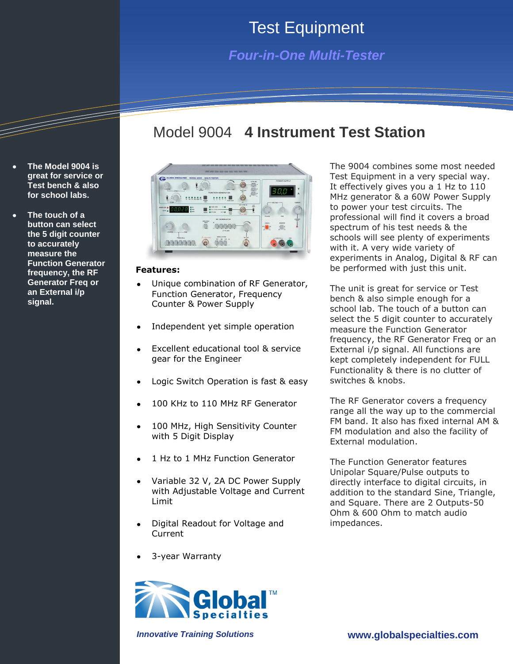## Test Equipment

### *Four-in-One Multi-Tester*

### Model 9004 **4 Instrument Test Station**



#### **Features:**

**The Model 9004 is great for service or Test bench & also for school labs.** 

**The touch of a button can select the 5 digit counter to accurately measure the** 

**signal.**

**Function Generator frequency, the RF Generator Freq or an External i/p** 

- Unique combination of RF Generator, Function Generator, Frequency Counter & Power Supply
- Independent yet simple operation
- Excellent educational tool & service gear for the Engineer
- Logic Switch Operation is fast & easy
- 100 KHz to 110 MHz RF Generator
- 100 MHz, High Sensitivity Counter with 5 Digit Display
- 1 Hz to 1 MHz Function Generator
- Variable 32 V, 2A DC Power Supply with Adjustable Voltage and Current Limit
- Digital Readout for Voltage and Current
- 3-year Warranty



The 9004 combines some most needed Test Equipment in a very special way. It effectively gives you a 1 Hz to 110 MHz generator & a 60W Power Supply to power your test circuits. The professional will find it covers a broad spectrum of his test needs & the schools will see plenty of experiments with it. A very wide variety of experiments in Analog, Digital & RF can be performed with just this unit.

The unit is great for service or Test bench & also simple enough for a school lab. The touch of a button can select the 5 digit counter to accurately measure the Function Generator frequency, the RF Generator Freq or an External i/p signal. All functions are kept completely independent for FULL Functionality & there is no clutter of switches & knobs.

The RF Generator covers a frequency range all the way up to the commercial FM band. It also has fixed internal AM & FM modulation and also the facility of External modulation.

The Function Generator features Unipolar Square/Pulse outputs to directly interface to digital circuits, in addition to the standard Sine, Triangle, and Square. There are 2 Outputs-50 Ohm & 600 Ohm to match audio impedances.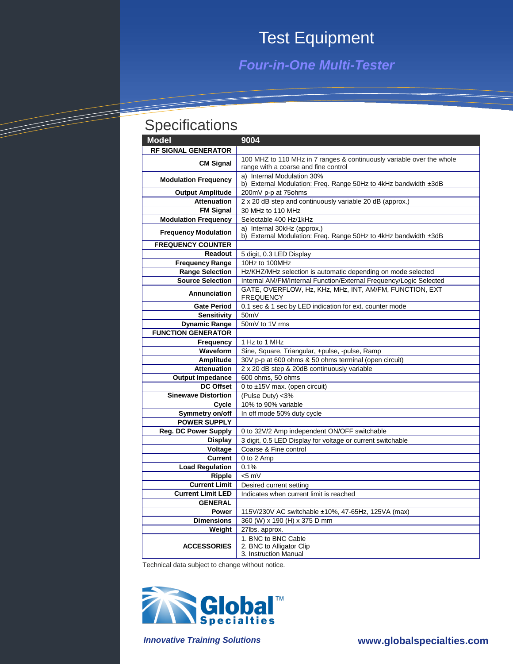# Test Equipment

*Four-in-One Multi-Tester*

## **Specifications**

=

<u> Tarta da Barangan San San Barangan San Barangan San Baranga Baranga ang Baranga Baranga Baranga Baranga ang </u>

| <b>Model</b>                | 9004                                                                                           |
|-----------------------------|------------------------------------------------------------------------------------------------|
| <b>RF SIGNAL GENERATOR</b>  |                                                                                                |
| <b>CM Signal</b>            | 100 MHZ to 110 MHz in 7 ranges & continuously variable over the whole                          |
|                             | range with a coarse and fine control                                                           |
| <b>Modulation Frequency</b> | a) Internal Modulation 30%                                                                     |
|                             | b) External Modulation: Freq. Range 50Hz to 4kHz bandwidth ±3dB                                |
| <b>Output Amplitude</b>     | 200mV p-p at 75ohms                                                                            |
| <b>Attenuation</b>          | 2 x 20 dB step and continuously variable 20 dB (approx.)                                       |
| <b>FM Signal</b>            | 30 MHz to 110 MHz                                                                              |
| <b>Modulation Frequency</b> | Selectable 400 Hz/1kHz                                                                         |
| <b>Frequency Modulation</b> | a) Internal 30kHz (approx.)<br>b) External Modulation: Freq. Range 50Hz to 4kHz bandwidth ±3dB |
| <b>FREQUENCY COUNTER</b>    |                                                                                                |
| <b>Readout</b>              | 5 digit, 0.3 LED Display                                                                       |
| <b>Frequency Range</b>      | 10Hz to 100MHz                                                                                 |
| <b>Range Selection</b>      | Hz/KHZ/MHz selection is automatic depending on mode selected                                   |
| <b>Source Selection</b>     | Internal AM/FM/Internal Function/External Frequency/Logic Selected                             |
|                             | GATE, OVERFLOW, Hz, KHz, MHz, INT, AM/FM, FUNCTION, EXT                                        |
| Annunciation                | <b>FREQUENCY</b>                                                                               |
| <b>Gate Period</b>          | 0.1 sec & 1 sec by LED indication for ext. counter mode                                        |
| <b>Sensitivity</b>          | 50 <sub>m</sub> V                                                                              |
| <b>Dynamic Range</b>        | 50mV to 1V rms                                                                                 |
| <b>FUNCTION GENERATOR</b>   |                                                                                                |
| Frequency                   | 1 Hz to 1 MHz                                                                                  |
| Waveform                    | Sine, Square, Triangular, +pulse, -pulse, Ramp                                                 |
| Amplitude                   | 30V p-p at 600 ohms & 50 ohms terminal (open circuit)                                          |
| <b>Attenuation</b>          | 2 x 20 dB step & 20dB continuously variable                                                    |
| <b>Output Impedance</b>     | 600 ohms, 50 ohms                                                                              |
| <b>DC Offset</b>            | 0 to $\pm 15V$ max. (open circuit)                                                             |
| <b>Sinewave Distortion</b>  | (Pulse Duty) <3%                                                                               |
| Cycle                       | 10% to 90% variable                                                                            |
| Symmetry on/off             | In off mode 50% duty cycle                                                                     |
| <b>POWER SUPPLY</b>         |                                                                                                |
| <b>Reg. DC Power Supply</b> | 0 to 32V/2 Amp independent ON/OFF switchable                                                   |
| <b>Display</b>              | 3 digit, 0.5 LED Display for voltage or current switchable                                     |
| Voltage                     | Coarse & Fine control                                                                          |
| <b>Current</b>              | 0 to 2 Amp                                                                                     |
| <b>Load Regulation</b>      | 0.1%                                                                                           |
| Ripple                      | $< 5$ mV                                                                                       |
| <b>Current Limit</b>        | Desired current setting                                                                        |
| <b>Current Limit LED</b>    | Indicates when current limit is reached                                                        |
| <b>GENERAL</b>              |                                                                                                |
| Power                       | 115V/230V AC switchable ±10%, 47-65Hz, 125VA (max)                                             |
| <b>Dimensions</b>           | 360 (W) x 190 (H) x 375 D mm                                                                   |
| Weight                      | 27lbs. approx.                                                                                 |
|                             | 1. BNC to BNC Cable                                                                            |
| <b>ACCESSORIES</b>          | 2. BNC to Alligator Clip                                                                       |
|                             | 3. Instruction Manual                                                                          |

Technical data subject to change without notice.